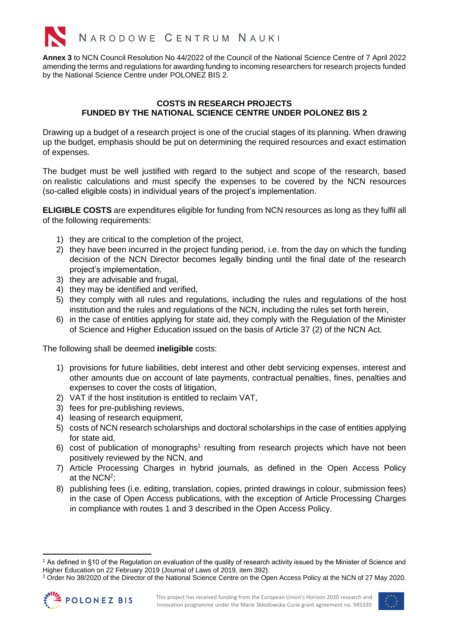

**Annex 3** to NCN Council Resolution No 44/2022 of the Council of the National Science Centre of 7 April 2022 amending the terms and regulations for awarding funding to incoming researchers for research projects funded by the National Science Centre under POLONEZ BIS 2.

## **COSTS IN RESEARCH PROJECTS FUNDED BY THE NATIONAL SCIENCE CENTRE UNDER POLONEZ BIS 2**

Drawing up a budget of a research project is one of the crucial stages of its planning. When drawing up the budget, emphasis should be put on determining the required resources and exact estimation of expenses.

The budget must be well justified with regard to the subject and scope of the research, based on realistic calculations and must specify the expenses to be covered by the NCN resources (so-called eligible costs) in individual years of the project's implementation.

**ELIGIBLE COSTS** are expenditures eligible for funding from NCN resources as long as they fulfil all of the following requirements:

- 1) they are critical to the completion of the project,
- 2) they have been incurred in the project funding period, i.e. from the day on which the funding decision of the NCN Director becomes legally binding until the final date of the research project's implementation,
- 3) they are advisable and frugal,
- 4) they may be identified and verified,
- 5) they comply with all rules and regulations, including the rules and regulations of the host institution and the rules and regulations of the NCN, including the rules set forth herein,
- 6) in the case of entities applying for state aid, they comply with the Regulation of the Minister of Science and Higher Education issued on the basis of Article 37 (2) of the NCN Act.

The following shall be deemed **ineligible** costs:

- 1) provisions for future liabilities, debt interest and other debt servicing expenses, interest and other amounts due on account of late payments, contractual penalties, fines, penalties and expenses to cover the costs of litigation,
- 2) VAT if the host institution is entitled to reclaim VAT,
- 3) fees for pre-publishing reviews,
- 4) leasing of research equipment,
- 5) costs of NCN research scholarships and doctoral scholarships in the case of entities applying for state aid,
- 6) cost of publication of monographs<sup>1</sup> resulting from research projects which have not been positively reviewed by the NCN, and
- 7) Article Processing Charges in hybrid journals, as defined in the Open Access Policy at the NCN<sup>2</sup>;
- 8) publishing fees (i.e. editing, translation, copies, printed drawings in colour, submission fees) in the case of Open Access publications, with the exception of Article Processing Charges in compliance with routes 1 and 3 described in the Open Access Policy.

<sup>&</sup>lt;sup>2</sup> Order No 38/2020 of the Director of the National Science Centre on the Open Access Policy at the NCN of 27 May 2020.





<sup>1</sup> As defined in §10 of the Regulation on evaluation of the quality of research activity issued by the Minister of Science and Higher Education on 22 February 2019 (Journal of Laws of 2019, item 392).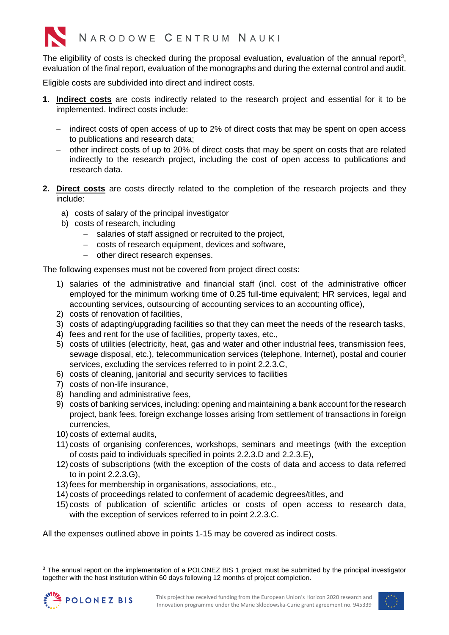

The eligibility of costs is checked during the proposal evaluation, evaluation of the annual report<sup>3</sup>, evaluation of the final report, evaluation of the monographs and during the external control and audit.

Eligible costs are subdivided into direct and indirect costs.

- **1. Indirect costs** are costs indirectly related to the research project and essential for it to be implemented. Indirect costs include:
	- − indirect costs of open access of up to 2% of direct costs that may be spent on open access to publications and research data;
	- − other indirect costs of up to 20% of direct costs that may be spent on costs that are related indirectly to the research project, including the cost of open access to publications and research data.
- **2. Direct costs** are costs directly related to the completion of the research projects and they include:
	- a) costs of salary of the principal investigator
	- b) costs of research, including
		- − salaries of staff assigned or recruited to the project,
		- − costs of research equipment, devices and software,
		- − other direct research expenses.

The following expenses must not be covered from project direct costs:

- 1) salaries of the administrative and financial staff (incl. cost of the administrative officer employed for the minimum working time of 0.25 full-time equivalent; HR services, legal and accounting services, outsourcing of accounting services to an accounting office),
- 2) costs of renovation of facilities,
- 3) costs of adapting/upgrading facilities so that they can meet the needs of the research tasks,
- 4) fees and rent for the use of facilities, property taxes, etc.,
- 5) costs of utilities (electricity, heat, gas and water and other industrial fees, transmission fees, sewage disposal, etc.), telecommunication services (telephone, Internet), postal and courier services, excluding the services referred to in point 2.2.3.C,
- 6) costs of cleaning, janitorial and security services to facilities
- 7) costs of non-life insurance,
- 8) handling and administrative fees,
- 9) costs of banking services, including: opening and maintaining a bank account for the research project, bank fees, foreign exchange losses arising from settlement of transactions in foreign currencies,
- 10) costs of external audits,
- 11) costs of organising conferences, workshops, seminars and meetings (with the exception of costs paid to individuals specified in points 2.2.3.D and 2.2.3.E),
- 12) costs of subscriptions (with the exception of the costs of data and access to data referred to in point 2.2.3.G),
- 13) fees for membership in organisations, associations, etc.,
- 14) costs of proceedings related to conferment of academic degrees/titles, and
- 15) costs of publication of scientific articles or costs of open access to research data, with the exception of services referred to in point 2.2.3.C.

All the expenses outlined above in points 1-15 may be covered as indirect costs.

<sup>&</sup>lt;sup>3</sup> The annual report on the implementation of a POLONEZ BIS 1 project must be submitted by the principal investigator together with the host institution within 60 days following 12 months of project completion.



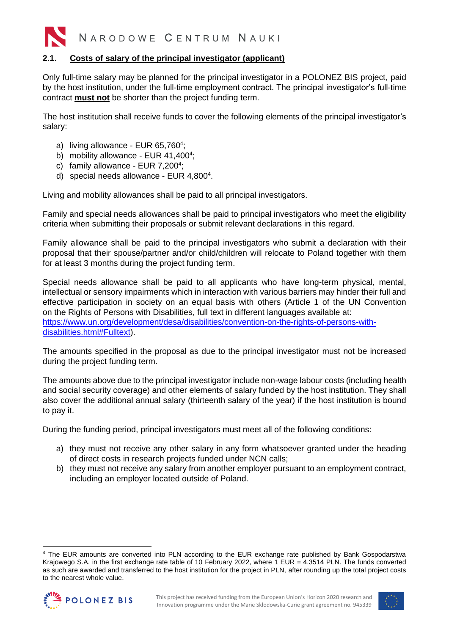

## **2.1. Costs of salary of the principal investigator (applicant)**

Only full-time salary may be planned for the principal investigator in a POLONEZ BIS project, paid by the host institution, under the full-time employment contract. The principal investigator's full-time contract **must not** be shorter than the project funding term.

The host institution shall receive funds to cover the following elements of the principal investigator's salary:

- <span id="page-2-0"></span>a) living allowance - EUR 65,760<sup>4</sup>;
- b) mobility allowance EUR  $41,400^4$ [;](#page-2-0)
- c) family allowance EUR 7,2[0](#page-2-0)0<sup>4</sup>;
- d) special needs allowance EUR 4,8[0](#page-2-0)0<sup>4</sup>.

Living and mobility allowances shall be paid to all principal investigators.

Family and special needs allowances shall be paid to principal investigators who meet the eligibility criteria when submitting their proposals or submit relevant declarations in this regard.

Family allowance shall be paid to the principal investigators who submit a declaration with their proposal that their spouse/partner and/or child/children will relocate to Poland together with them for at least 3 months during the project funding term.

Special needs allowance shall be paid to all applicants who have long-term physical, mental, intellectual or sensory impairments which in interaction with various barriers may hinder their full and effective participation in society on an equal basis with others (Article 1 of the UN Convention on the Rights of Persons with Disabilities, full text in different languages available at: [https://www.un.org/development/desa/disabilities/convention-on-the-rights-of-persons-with](https://www.un.org/development/desa/disabilities/convention-on-the-rights-of-persons-with-disabilities.html#Fulltext)[disabilities.html#Fulltext\)](https://www.un.org/development/desa/disabilities/convention-on-the-rights-of-persons-with-disabilities.html#Fulltext).

The amounts specified in the proposal as due to the principal investigator must not be increased during the project funding term.

The amounts above due to the principal investigator include non-wage labour costs (including health and social security coverage) and other elements of salary funded by the host institution. They shall also cover the additional annual salary (thirteenth salary of the year) if the host institution is bound to pay it.

During the funding period, principal investigators must meet all of the following conditions:

- a) they must not receive any other salary in any form whatsoever granted under the heading of direct costs in research projects funded under NCN calls;
- b) they must not receive any salary from another employer pursuant to an employment contract, including an employer located outside of Poland.

<sup>4</sup> The EUR amounts are converted into PLN according to the EUR exchange rate published by Bank Gospodarstwa Krajowego S.A. in the first exchange rate table of 10 February 2022, where 1 EUR = 4.3514 PLN. The funds converted as such are awarded and transferred to the host institution for the project in PLN, after rounding up the total project costs to the nearest whole value.



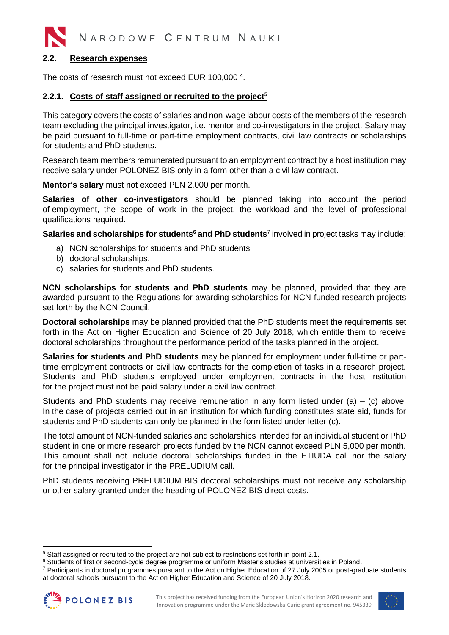

## **2.2. Research expenses**

The costs of research must not exceed EUR 100,000<sup>4</sup>[.](#page-2-0)

## **2.2.1. Costs of staff assigned or recruited to the project<sup>5</sup>**

This category covers the costs of salaries and non-wage labour costs of the members of the research team excluding the principal investigator, i.e. mentor and co-investigators in the project. Salary may be paid pursuant to full-time or part-time employment contracts, civil law contracts or scholarships for students and PhD students.

Research team members remunerated pursuant to an employment contract by a host institution may receive salary under POLONEZ BIS only in a form other than a civil law contract.

**Mentor's salary** must not exceed PLN 2,000 per month.

**Salaries of other co-investigators** should be planned taking into account the period of employment, the scope of work in the project, the workload and the level of professional qualifications required.

**Salaries and scholarships for students<sup>6</sup> and PhD students**<sup>7</sup> involved in project tasks may include:

- a) NCN scholarships for students and PhD students,
- b) doctoral scholarships,
- c) salaries for students and PhD students.

**NCN scholarships for students and PhD students** may be planned, provided that they are awarded pursuant to the Regulations for awarding scholarships for NCN-funded research projects set forth by the NCN Council.

**Doctoral scholarships** may be planned provided that the PhD students meet the requirements set forth in the Act on Higher Education and Science of 20 July 2018, which entitle them to receive doctoral scholarships throughout the performance period of the tasks planned in the project.

**Salaries for students and PhD students** may be planned for employment under full-time or parttime employment contracts or civil law contracts for the completion of tasks in a research project. Students and PhD students employed under employment contracts in the host institution for the project must not be paid salary under a civil law contract.

Students and PhD students may receive remuneration in any form listed under (a)  $-$  (c) above. In the case of projects carried out in an institution for which funding constitutes state aid, funds for students and PhD students can only be planned in the form listed under letter (c).

The total amount of NCN-funded salaries and scholarships intended for an individual student or PhD student in one or more research projects funded by the NCN cannot exceed PLN 5,000 per month. This amount shall not include doctoral scholarships funded in the ETIUDA call nor the salary for the principal investigator in the PRELUDIUM call.

PhD students receiving PRELUDIUM BIS doctoral scholarships must not receive any scholarship or other salary granted under the heading of POLONEZ BIS direct costs.

<sup>7</sup> Participants in doctoral programmes pursuant to the Act on Higher Education of 27 July 2005 or post-graduate students at doctoral schools pursuant to the Act on Higher Education and Science of 20 July 2018.





<sup>5</sup> Staff assigned or recruited to the project are not subject to restrictions set forth in point 2.1.

<sup>&</sup>lt;sup>6</sup> Students of first or second-cycle degree programme or uniform Master's studies at universities in Poland.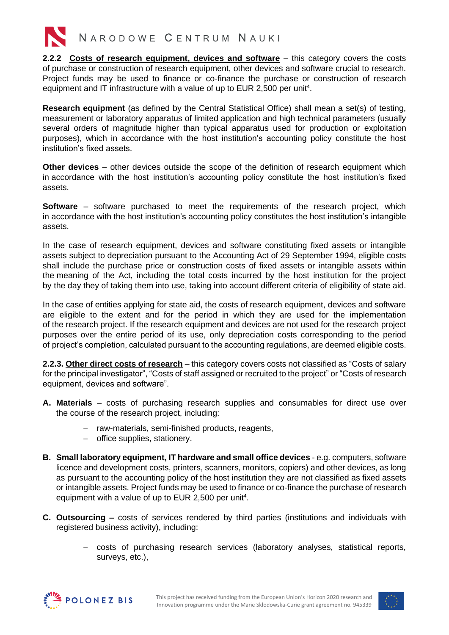

**2.2.2 Costs of research equipment, devices and software** – this category covers the costs of purchase or construction of research equipment, other devices and software crucial to research. Project funds may be used to finance or co-finance the purchase or construction of research equipment and IT infrastructure with a value of up to EUR 2,500 per unit<sup>4</sup>[.](#page-2-0)

**Research equipment** (as defined by the Central Statistical Office) shall mean a set(s) of testing, measurement or laboratory apparatus of limited application and high technical parameters (usually several orders of magnitude higher than typical apparatus used for production or exploitation purposes), which in accordance with the host institution's accounting policy constitute the host institution's fixed assets.

**Other devices** – other devices outside the scope of the definition of research equipment which in accordance with the host institution's accounting policy constitute the host institution's fixed assets.

**Software** – software purchased to meet the requirements of the research project, which in accordance with the host institution's accounting policy constitutes the host institution's intangible assets.

In the case of research equipment, devices and software constituting fixed assets or intangible assets subject to depreciation pursuant to the Accounting Act of 29 September 1994, eligible costs shall include the purchase price or construction costs of fixed assets or intangible assets within the meaning of the Act, including the total costs incurred by the host institution for the project by the day they of taking them into use, taking into account different criteria of eligibility of state aid.

In the case of entities applying for state aid, the costs of research equipment, devices and software are eligible to the extent and for the period in which they are used for the implementation of the research project. If the research equipment and devices are not used for the research project purposes over the entire period of its use, only depreciation costs corresponding to the period of project's completion, calculated pursuant to the accounting regulations, are deemed eligible costs.

**2.2.3. Other direct costs of research** – this category covers costs not classified as "Costs of salary for the principal investigator", "Costs of staff assigned or recruited to the project" or "Costs of research equipment, devices and software".

- **A. Materials** costs of purchasing research supplies and consumables for direct use over the course of the research project, including:
	- − raw-materials, semi-finished products, reagents,
	- − office supplies, stationery.
- **B. Small laboratory equipment, IT hardware and small office devices** e.g. computers, software licence and development costs, printers, scanners, monitors, copiers) and other devices, as long as pursuant to the accounting policy of the host institution they are not classified as fixed assets or intangible assets. Project funds may be used to finance or co-finance the purchase of research equipmen[t](#page-2-0) with a value of up to EUR 2,500 per unit<sup>4</sup>.
- **C. Outsourcing –** costs of services rendered by third parties (institutions and individuals with registered business activity), including:
	- − costs of purchasing research services (laboratory analyses, statistical reports, surveys, etc.),



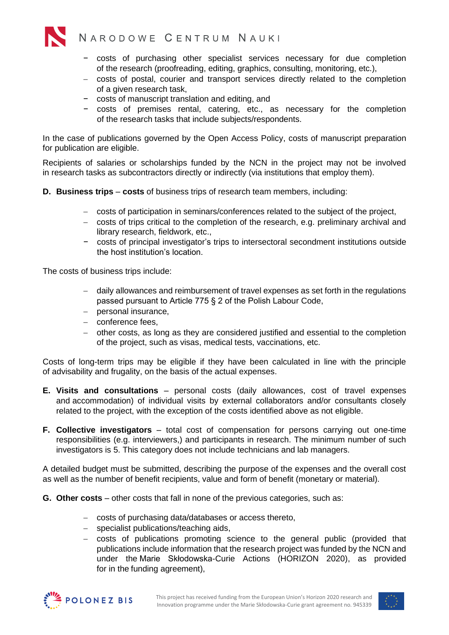

- − costs of purchasing other specialist services necessary for due completion of the research (proofreading, editing, graphics, consulting, monitoring, etc.),
- − costs of postal, courier and transport services directly related to the completion of a given research task,
- − costs of manuscript translation and editing, and
- − costs of premises rental, catering, etc., as necessary for the completion of the research tasks that include subjects/respondents.

In the case of publications governed by the Open Access Policy, costs of manuscript preparation for publication are eligible.

Recipients of salaries or scholarships funded by the NCN in the project may not be involved in research tasks as subcontractors directly or indirectly (via institutions that employ them).

- **D. Business trips costs** of business trips of research team members, including:
	- − costs of participation in seminars/conferences related to the subject of the project,
	- − costs of trips critical to the completion of the research, e.g. preliminary archival and library research, fieldwork, etc.,
	- − costs of principal investigator's trips to intersectoral secondment institutions outside the host institution's location.

The costs of business trips include:

- − daily allowances and reimbursement of travel expenses as set forth in the regulations passed pursuant to Article 775 § 2 of the Polish Labour Code,
- − personal insurance,
- − conference fees,
- − other costs, as long as they are considered justified and essential to the completion of the project, such as visas, medical tests, vaccinations, etc.

Costs of long-term trips may be eligible if they have been calculated in line with the principle of advisability and frugality, on the basis of the actual expenses.

- **E. Visits and consultations** personal costs (daily allowances, cost of travel expenses and accommodation) of individual visits by external collaborators and/or consultants closely related to the project, with the exception of the costs identified above as not eligible.
- **F. Collective investigators**  total cost of compensation for persons carrying out one-time responsibilities (e.g. interviewers,) and participants in research. The minimum number of such investigators is 5. This category does not include technicians and lab managers.

A detailed budget must be submitted, describing the purpose of the expenses and the overall cost as well as the number of benefit recipients, value and form of benefit (monetary or material).

- **G. Other costs** other costs that fall in none of the previous categories, such as:
	- − costs of purchasing data/databases or access thereto,
	- − specialist publications/teaching aids,
	- − costs of publications promoting science to the general public (provided that publications include information that the research project was funded by the NCN and under the Marie Skłodowska-Curie Actions (HORIZON 2020), as provided for in the funding agreement),